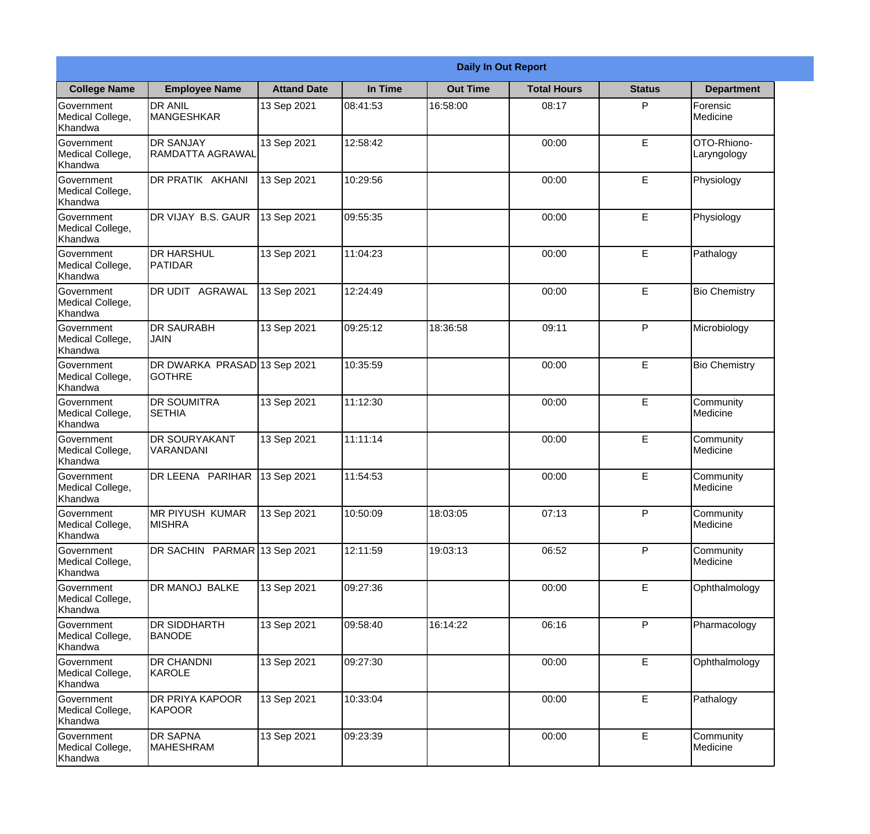|                                                  |                                               |                    |          | <b>Daily In Out Report</b> |                    |               |                            |
|--------------------------------------------------|-----------------------------------------------|--------------------|----------|----------------------------|--------------------|---------------|----------------------------|
| <b>College Name</b>                              | <b>Employee Name</b>                          | <b>Attand Date</b> | In Time  | <b>Out Time</b>            | <b>Total Hours</b> | <b>Status</b> | <b>Department</b>          |
| Government<br>Medical College,<br>Khandwa        | <b>DR ANIL</b><br><b>MANGESHKAR</b>           | 13 Sep 2021        | 08:41:53 | 16:58:00                   | 08:17              | P             | Forensic<br>Medicine       |
| Government<br>Medical College,<br>Khandwa        | <b>DR SANJAY</b><br>RAMDATTA AGRAWAL          | 13 Sep 2021        | 12:58:42 |                            | 00:00              | E             | OTO-Rhiono-<br>Laryngology |
| <b>Government</b><br>Medical College,<br>Khandwa | DR PRATIK AKHANI                              | 13 Sep 2021        | 10:29:56 |                            | 00:00              | E             | Physiology                 |
| Government<br>Medical College,<br>Khandwa        | DR VIJAY B.S. GAUR                            | 13 Sep 2021        | 09:55:35 |                            | 00:00              | E             | Physiology                 |
| Government<br>Medical College,<br>Khandwa        | <b>DR HARSHUL</b><br>PATIDAR                  | 13 Sep 2021        | 11:04:23 |                            | 00:00              | E             | Pathalogy                  |
| Government<br>Medical College,<br>Khandwa        | DR UDIT AGRAWAL                               | 13 Sep 2021        | 12:24:49 |                            | 00:00              | E             | <b>Bio Chemistry</b>       |
| Government<br>Medical College,<br>Khandwa        | <b>DR SAURABH</b><br><b>JAIN</b>              | 13 Sep 2021        | 09:25:12 | 18:36:58                   | 09:11              | P             | Microbiology               |
| Government<br>Medical College,<br>Khandwa        | DR DWARKA PRASAD 13 Sep 2021<br><b>GOTHRE</b> |                    | 10:35:59 |                            | 00:00              | E             | <b>Bio Chemistry</b>       |
| <b>Government</b><br>Medical College,<br>Khandwa | <b>DR SOUMITRA</b><br><b>SETHIA</b>           | 13 Sep 2021        | 11:12:30 |                            | 00:00              | E             | Community<br>Medicine      |
| Government<br>Medical College,<br>Khandwa        | <b>DR SOURYAKANT</b><br>VARANDANI             | 13 Sep 2021        | 11:11:14 |                            | 00:00              | E             | Community<br>Medicine      |
| Government<br>Medical College,<br>Khandwa        | DR LEENA PARIHAR                              | 13 Sep 2021        | 11:54:53 |                            | 00:00              | E             | Community<br>Medicine      |
| Government<br>Medical College,<br>Khandwa        | <b>MR PIYUSH KUMAR</b><br><b>MISHRA</b>       | 13 Sep 2021        | 10:50:09 | 18:03:05                   | 07:13              | P             | Community<br>Medicine      |
| Government<br>Medical College,<br>Khandwa        | DR SACHIN PARMAR 13 Sep 2021                  |                    | 12:11:59 | 19:03:13                   | 06:52              | P             | Community<br>Medicine      |
| Government<br>Medical College,<br>Khandwa        | DR MANOJ BALKE                                | 13 Sep 2021        | 09:27:36 |                            | 00:00              | E             | Ophthalmology              |
| Government<br>Medical College,<br>Khandwa        | <b>DR SIDDHARTH</b><br><b>BANODE</b>          | 13 Sep 2021        | 09:58:40 | 16:14:22                   | 06:16              | P             | Pharmacology               |
| Government<br>Medical College,<br>Khandwa        | <b>DR CHANDNI</b><br>KAROLE                   | 13 Sep 2021        | 09:27:30 |                            | 00:00              | E             | Ophthalmology              |
| Government<br>Medical College,<br>Khandwa        | DR PRIYA KAPOOR<br>KAPOOR                     | 13 Sep 2021        | 10:33:04 |                            | 00:00              | E             | Pathalogy                  |
| Government<br>Medical College,<br>Khandwa        | <b>DR SAPNA</b><br>MAHESHRAM                  | 13 Sep 2021        | 09:23:39 |                            | 00:00              | E             | Community<br>Medicine      |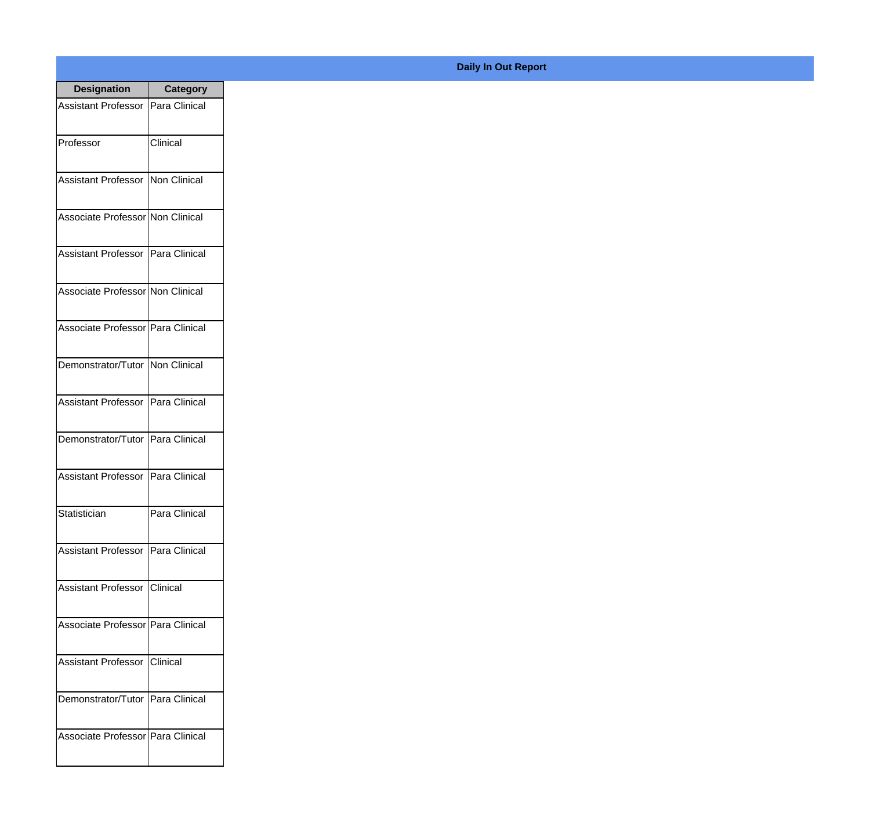| <b>Designation</b>                  | <b>Category</b> |
|-------------------------------------|-----------------|
| Assistant Professor   Para Clinical |                 |
| Professor                           | Clinical        |
| Assistant Professor   Non Clinical  |                 |
| Associate Professor Non Clinical    |                 |
| Assistant Professor   Para Clinical |                 |
| Associate Professor Non Clinical    |                 |
| Associate Professor Para Clinical   |                 |
| Demonstrator/Tutor   Non Clinical   |                 |
| Assistant Professor   Para Clinical |                 |
| Demonstrator/Tutor   Para Clinical  |                 |
| Assistant Professor                 | Para Clinical   |
| Statistician                        | Para Clinical   |
| Assistant Professor   Para Clinical |                 |
| Assistant Professor   Clinical      |                 |
| Associate Professor Para Clinical   |                 |
| <b>Assistant Professor</b>          | <b>Clinical</b> |
| Demonstrator/Tutor   Para Clinical  |                 |
| Associate Professor Para Clinical   |                 |

## **Daily In Out Report**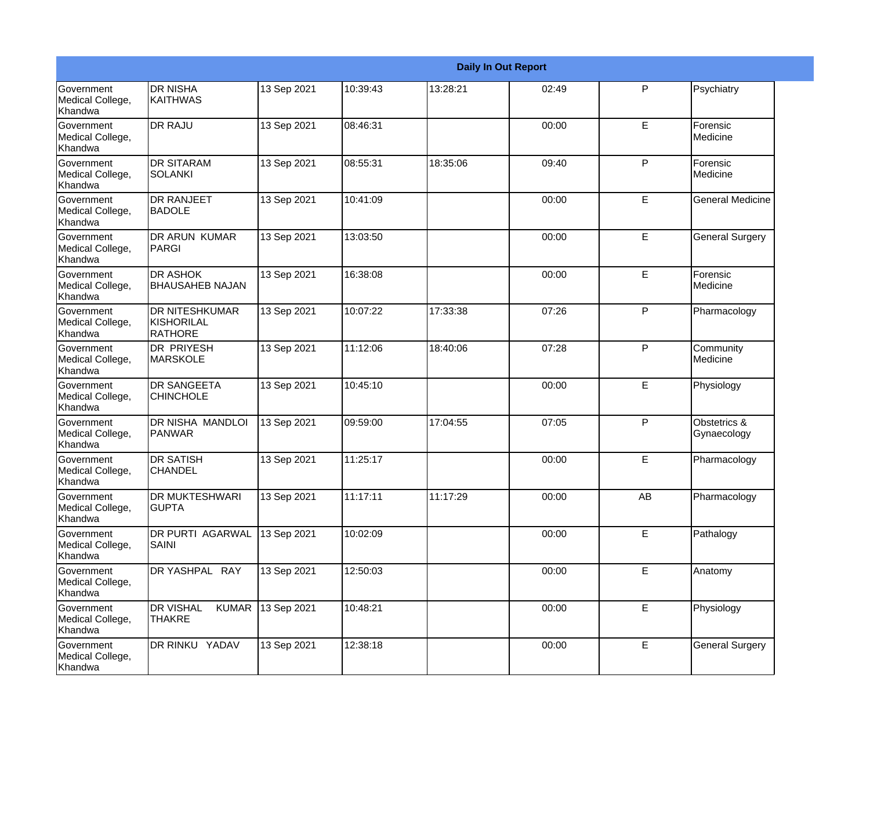|                                           |                                                       |             |          |          | <b>Daily In Out Report</b> |             |                             |
|-------------------------------------------|-------------------------------------------------------|-------------|----------|----------|----------------------------|-------------|-----------------------------|
| Government<br>Medical College,<br>Khandwa | <b>DR NISHA</b><br><b>KAITHWAS</b>                    | 13 Sep 2021 | 10:39:43 | 13:28:21 | 02:49                      | P           | Psychiatry                  |
| Government<br>Medical College,<br>Khandwa | <b>DR RAJU</b>                                        | 13 Sep 2021 | 08:46:31 |          | 00:00                      | E           | Forensic<br>Medicine        |
| Government<br>Medical College,<br>Khandwa | <b>DR SITARAM</b><br><b>SOLANKI</b>                   | 13 Sep 2021 | 08:55:31 | 18:35:06 | 09:40                      | P           | Forensic<br>Medicine        |
| Government<br>Medical College,<br>Khandwa | <b>DR RANJEET</b><br><b>BADOLE</b>                    | 13 Sep 2021 | 10:41:09 |          | 00:00                      | E           | <b>General Medicine</b>     |
| Government<br>Medical College,<br>Khandwa | DR ARUN KUMAR<br>PARGI                                | 13 Sep 2021 | 13:03:50 |          | 00:00                      | E           | <b>General Surgery</b>      |
| Government<br>Medical College,<br>Khandwa | <b>DR ASHOK</b><br><b>BHAUSAHEB NAJAN</b>             | 13 Sep 2021 | 16:38:08 |          | 00:00                      | E           | Forensic<br>Medicine        |
| Government<br>Medical College,<br>Khandwa | <b>DR NITESHKUMAR</b><br>KISHORILAL<br><b>RATHORE</b> | 13 Sep 2021 | 10:07:22 | 17:33:38 | 07:26                      | P           | Pharmacology                |
| Government<br>Medical College,<br>Khandwa | <b>DR PRIYESH</b><br><b>MARSKOLE</b>                  | 13 Sep 2021 | 11:12:06 | 18:40:06 | 07:28                      | P           | Community<br>Medicine       |
| Government<br>Medical College,<br>Khandwa | <b>DR SANGEETA</b><br><b>CHINCHOLE</b>                | 13 Sep 2021 | 10:45:10 |          | 00:00                      | E           | Physiology                  |
| Government<br>Medical College,<br>Khandwa | DR NISHA MANDLOI<br>PANWAR                            | 13 Sep 2021 | 09:59:00 | 17:04:55 | 07:05                      | P           | Obstetrics &<br>Gynaecology |
| Government<br>Medical College,<br>Khandwa | <b>DR SATISH</b><br><b>CHANDEL</b>                    | 13 Sep 2021 | 11:25:17 |          | 00:00                      | E           | Pharmacology                |
| Government<br>Medical College,<br>Khandwa | DR MUKTESHWARI<br><b>GUPTA</b>                        | 13 Sep 2021 | 11:17:11 | 11:17:29 | 00:00                      | AB          | Pharmacology                |
| Government<br>Medical College,<br>Khandwa | DR PURTI AGARWAL<br><b>SAINI</b>                      | 13 Sep 2021 | 10:02:09 |          | 00:00                      | $\mathsf E$ | Pathalogy                   |
| Government<br>Medical College,<br>Khandwa | DR YASHPAL RAY                                        | 13 Sep 2021 | 12:50:03 |          | 00:00                      | $\mathsf E$ | Anatomy                     |
| Government<br>Medical College,<br>Khandwa | <b>DR VISHAL</b><br><b>KUMAR</b><br><b>THAKRE</b>     | 13 Sep 2021 | 10:48:21 |          | 00:00                      | E           | Physiology                  |
| Government<br>Medical College,<br>Khandwa | DR RINKU YADAV                                        | 13 Sep 2021 | 12:38:18 |          | 00:00                      | $\mathsf E$ | <b>General Surgery</b>      |